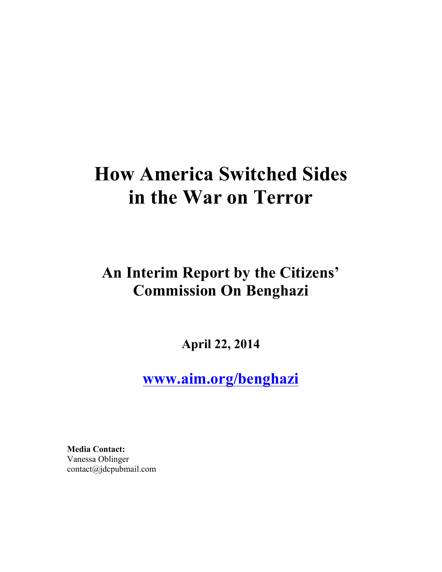# **How America Switched Sides in the War on Terror**

## **An Interim Report by the Citizens' Commission On Benghazi**

**April 22, 2014**

**www.aim.org/benghazi**

**Media Contact:** Vanessa Oblinger contact@jdcpubmail.com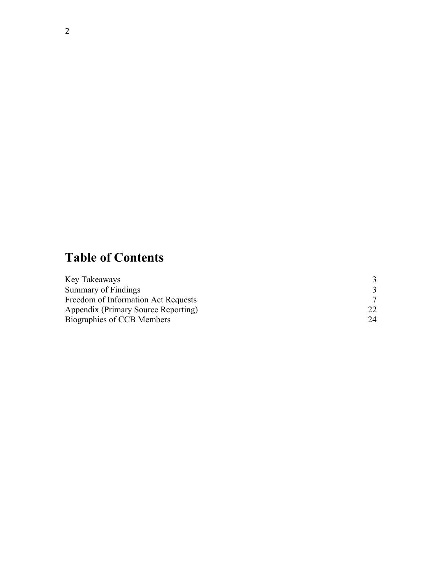## **Table of Contents**

| Key Takeaways                       |    |
|-------------------------------------|----|
| Summary of Findings                 |    |
| Freedom of Information Act Requests |    |
| Appendix (Primary Source Reporting) |    |
| Biographies of CCB Members          | 24 |
|                                     |    |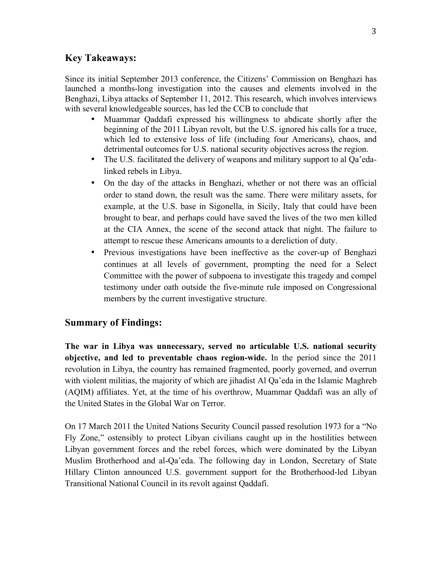### **Key Takeaways:**

Since its initial September 2013 conference, the Citizens' Commission on Benghazi has launched a months-long investigation into the causes and elements involved in the Benghazi, Libya attacks of September 11, 2012. This research, which involves interviews with several knowledgeable sources, has led the CCB to conclude that

- Muammar Qaddafi expressed his willingness to abdicate shortly after the beginning of the 2011 Libyan revolt, but the U.S. ignored his calls for a truce, which led to extensive loss of life (including four Americans), chaos, and detrimental outcomes for U.S. national security objectives across the region.
- The U.S. facilitated the delivery of weapons and military support to al Qa'edalinked rebels in Libya.
- On the day of the attacks in Benghazi, whether or not there was an official order to stand down, the result was the same. There were military assets, for example, at the U.S. base in Sigonella, in Sicily, Italy that could have been brought to bear, and perhaps could have saved the lives of the two men killed at the CIA Annex, the scene of the second attack that night. The failure to attempt to rescue these Americans amounts to a dereliction of duty.
- Previous investigations have been ineffective as the cover-up of Benghazi continues at all levels of government, prompting the need for a Select Committee with the power of subpoena to investigate this tragedy and compel testimony under oath outside the five-minute rule imposed on Congressional members by the current investigative structure.

### **Summary of Findings:**

**The war in Libya was unnecessary, served no articulable U.S. national security objective, and led to preventable chaos region-wide.** In the period since the 2011 revolution in Libya, the country has remained fragmented, poorly governed, and overrun with violent militias, the majority of which are jihadist Al Qa'eda in the Islamic Maghreb (AQIM) affiliates. Yet, at the time of his overthrow, Muammar Qaddafi was an ally of the United States in the Global War on Terror.

On 17 March 2011 the United Nations Security Council passed resolution 1973 for a "No Fly Zone," ostensibly to protect Libyan civilians caught up in the hostilities between Libyan government forces and the rebel forces, which were dominated by the Libyan Muslim Brotherhood and al-Qa'eda. The following day in London, Secretary of State Hillary Clinton announced U.S. government support for the Brotherhood-led Libyan Transitional National Council in its revolt against Qaddafi.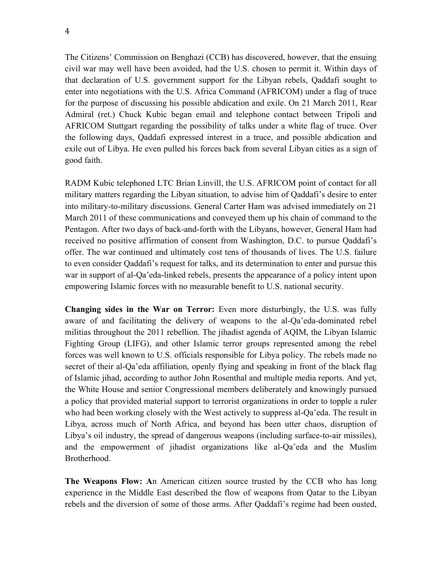The Citizens' Commission on Benghazi (CCB) has discovered, however, that the ensuing civil war may well have been avoided, had the U.S. chosen to permit it. Within days of that declaration of U.S. government support for the Libyan rebels, Qaddafi sought to enter into negotiations with the U.S. Africa Command (AFRICOM) under a flag of truce for the purpose of discussing his possible abdication and exile. On 21 March 2011, Rear Admiral (ret.) Chuck Kubic began email and telephone contact between Tripoli and AFRICOM Stuttgart regarding the possibility of talks under a white flag of truce. Over the following days, Qaddafi expressed interest in a truce, and possible abdication and exile out of Libya. He even pulled his forces back from several Libyan cities as a sign of good faith.

RADM Kubic telephoned LTC Brian Linvill, the U.S. AFRICOM point of contact for all military matters regarding the Libyan situation, to advise him of Qaddafi's desire to enter into military-to-military discussions. General Carter Ham was advised immediately on 21 March 2011 of these communications and conveyed them up his chain of command to the Pentagon. After two days of back-and-forth with the Libyans, however, General Ham had received no positive affirmation of consent from Washington, D.C. to pursue Qaddafi's offer. The war continued and ultimately cost tens of thousands of lives. The U.S. failure to even consider Qaddafi's request for talks, and its determination to enter and pursue this war in support of al-Qa'eda-linked rebels, presents the appearance of a policy intent upon empowering Islamic forces with no measurable benefit to U.S. national security.

**Changing sides in the War on Terror:** Even more disturbingly, the U.S. was fully aware of and facilitating the delivery of weapons to the al-Qa'eda-dominated rebel militias throughout the 2011 rebellion. The jihadist agenda of AQIM, the Libyan Islamic Fighting Group (LIFG), and other Islamic terror groups represented among the rebel forces was well known to U.S. officials responsible for Libya policy. The rebels made no secret of their al-Qa'eda affiliation, openly flying and speaking in front of the black flag of Islamic jihad, according to author John Rosenthal and multiple media reports. And yet, the White House and senior Congressional members deliberately and knowingly pursued a policy that provided material support to terrorist organizations in order to topple a ruler who had been working closely with the West actively to suppress al-Qa'eda. The result in Libya, across much of North Africa, and beyond has been utter chaos, disruption of Libya's oil industry, the spread of dangerous weapons (including surface-to-air missiles), and the empowerment of jihadist organizations like al-Qa'eda and the Muslim Brotherhood.

**The Weapons Flow: A**n American citizen source trusted by the CCB who has long experience in the Middle East described the flow of weapons from Qatar to the Libyan rebels and the diversion of some of those arms. After Qaddafi's regime had been ousted,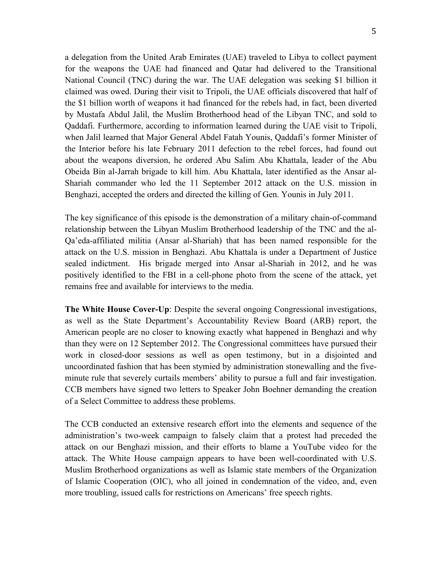a delegation from the United Arab Emirates (UAE) traveled to Libya to collect payment for the weapons the UAE had financed and Qatar had delivered to the Transitional National Council (TNC) during the war. The UAE delegation was seeking \$1 billion it claimed was owed. During their visit to Tripoli, the UAE officials discovered that half of the \$1 billion worth of weapons it had financed for the rebels had, in fact, been diverted by Mustafa Abdul Jalil, the Muslim Brotherhood head of the Libyan TNC, and sold to Qaddafi. Furthermore, according to information learned during the UAE visit to Tripoli, when Jalil learned that Major General Abdel Fatah Younis, Qaddafi's former Minister of the Interior before his late February 2011 defection to the rebel forces, had found out about the weapons diversion, he ordered Abu Salim Abu Khattala, leader of the Abu Obeida Bin al-Jarrah brigade to kill him. Abu Khattala, later identified as the Ansar al-Shariah commander who led the 11 September 2012 attack on the U.S. mission in Benghazi, accepted the orders and directed the killing of Gen. Younis in July 2011.

The key significance of this episode is the demonstration of a military chain-of-command relationship between the Libyan Muslim Brotherhood leadership of the TNC and the al-Qa'eda-affiliated militia (Ansar al-Shariah) that has been named responsible for the attack on the U.S. mission in Benghazi. Abu Khattala is under a Department of Justice sealed indictment. His brigade merged into Ansar al-Shariah in 2012, and he was positively identified to the FBI in a cell-phone photo from the scene of the attack, yet remains free and available for interviews to the media.

**The White House Cover-Up**: Despite the several ongoing Congressional investigations, as well as the State Department's Accountability Review Board (ARB) report, the American people are no closer to knowing exactly what happened in Benghazi and why than they were on 12 September 2012. The Congressional committees have pursued their work in closed-door sessions as well as open testimony, but in a disjointed and uncoordinated fashion that has been stymied by administration stonewalling and the fiveminute rule that severely curtails members' ability to pursue a full and fair investigation. CCB members have signed two letters to Speaker John Boehner demanding the creation of a Select Committee to address these problems.

The CCB conducted an extensive research effort into the elements and sequence of the administration's two-week campaign to falsely claim that a protest had preceded the attack on our Benghazi mission, and their efforts to blame a YouTube video for the attack. The White House campaign appears to have been well-coordinated with U.S. Muslim Brotherhood organizations as well as Islamic state members of the Organization of Islamic Cooperation (OIC), who all joined in condemnation of the video, and, even more troubling, issued calls for restrictions on Americans' free speech rights.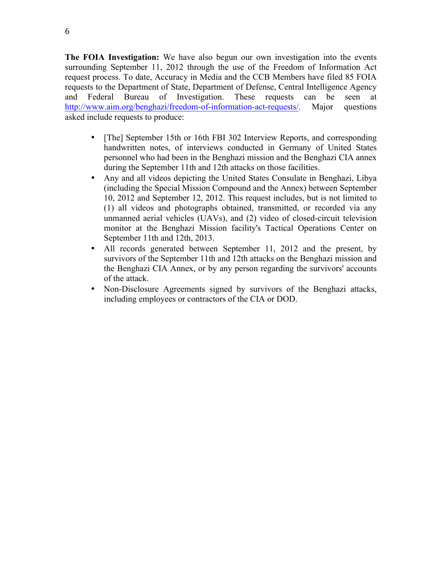**The FOIA Investigation:** We have also begun our own investigation into the events surrounding September 11, 2012 through the use of the Freedom of Information Act request process. To date, Accuracy in Media and the CCB Members have filed 85 FOIA requests to the Department of State, Department of Defense, Central Intelligence Agency and Federal Bureau of Investigation. These requests can be seen at http://www.aim.org/benghazi/freedom-of-information-act-requests/. Major questions asked include requests to produce:

- [The] September 15th or 16th FBI 302 Interview Reports, and corresponding handwritten notes, of interviews conducted in Germany of United States personnel who had been in the Benghazi mission and the Benghazi CIA annex during the September 11th and 12th attacks on those facilities.
- Any and all videos depicting the United States Consulate in Benghazi, Libya (including the Special Mission Compound and the Annex) between September 10, 2012 and September 12, 2012. This request includes, but is not limited to (1) all videos and photographs obtained, transmitted, or recorded via any unmanned aerial vehicles (UAVs), and (2) video of closed-circuit television monitor at the Benghazi Mission facility's Tactical Operations Center on September 11th and 12th, 2013.
- All records generated between September 11, 2012 and the present, by survivors of the September 11th and 12th attacks on the Benghazi mission and the Benghazi CIA Annex, or by any person regarding the survivors' accounts of the attack.
- Non-Disclosure Agreements signed by survivors of the Benghazi attacks, including employees or contractors of the CIA or DOD.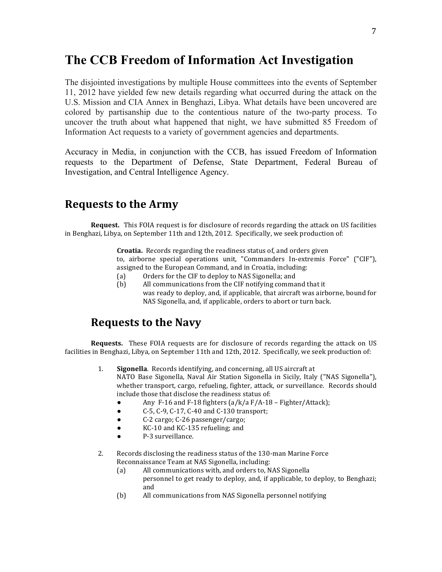### **The CCB Freedom of Information Act Investigation**

The disjointed investigations by multiple House committees into the events of September 11, 2012 have yielded few new details regarding what occurred during the attack on the U.S. Mission and CIA Annex in Benghazi, Libya. What details have been uncovered are colored by partisanship due to the contentious nature of the two-party process. To uncover the truth about what happened that night, we have submitted 85 Freedom of Information Act requests to a variety of government agencies and departments.

Accuracy in Media, in conjunction with the CCB, has issued Freedom of Information requests to the Department of Defense, State Department, Federal Bureau of Investigation, and Central Intelligence Agency.

### **Requests to the Army**

**Request.** This FOIA request is for disclosure of records regarding the attack on US facilities in Benghazi, Libya, on September 11th and 12th, 2012. Specifically, we seek production of:

> **Croatia.** Records regarding the readiness status of, and orders given to, airborne special operations unit, "Commanders In-extremis Force" ("CIF"), assigned to the European Command, and in Croatia, including:

- (a) Orders for the CIF to deploy to NAS Sigonella; and
- (b) All communications from the CIF notifying command that it was ready to deploy, and, if applicable, that aircraft was airborne, bound for NAS Sigonella, and, if applicable, orders to abort or turn back.

### **Requests to the Navy**

- 1. **Sigonella**. Records identifying, and concerning, all US aircraft at NATO Base Sigonella, Naval Air Station Sigonella in Sicily, Italy ("NAS Sigonella"), whether transport, cargo, refueling, fighter, attack, or surveillance. Records should include those that disclose the readiness status of:
	- Any  $F-16$  and  $F-18$  fighters (a/k/a  $F/A-18$  Fighter/Attack);
	- $\bullet$  C-5, C-9, C-17, C-40 and C-130 transport;
	- C-2 cargo; C-26 passenger/cargo;
	- KC-10 and KC-135 refueling; and
	- P-3 surveillance.
- 2. Records disclosing the readiness status of the 130-man Marine Force Reconnaissance Team at NAS Sigonella, including:
	- (a) All communications with, and orders to, NAS Sigonella personnel to get ready to deploy, and, if applicable, to deploy, to Benghazi; and
	- (b) All communications from NAS Sigonella personnel notifying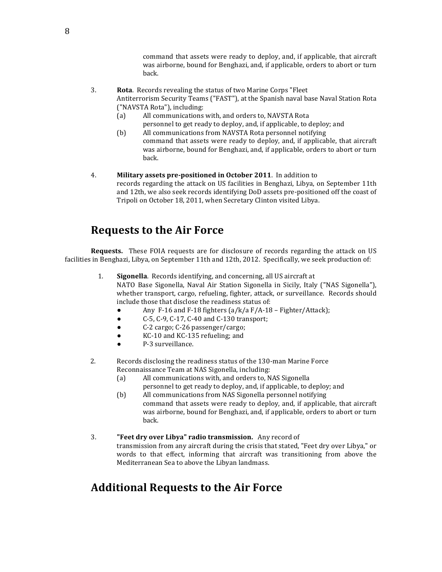command that assets were ready to deploy, and, if applicable, that aircraft was airborne, bound for Benghazi, and, if applicable, orders to abort or turn back.

- 3. **Rota**. Records revealing the status of two Marine Corps "Fleet Antiterrorism Security Teams ("FAST"), at the Spanish naval base Naval Station Rota ("NAVSTA Rota"), including:
	- (a) All communications with, and orders to, NAVSTA Rota
	- personnel to get ready to deploy, and, if applicable, to deploy; and (b) All communications from NAVSTA Rota personnel notifying
	- command that assets were ready to deploy, and, if applicable, that aircraft was airborne, bound for Benghazi, and, if applicable, orders to abort or turn back.
- 4. **Military assets pre-positioned in October 2011**. In addition to records regarding the attack on US facilities in Benghazi, Libya, on September 11th and 12th, we also seek records identifying DoD assets pre-positioned off the coast of Tripoli on October 18, 2011, when Secretary Clinton visited Libya.

### **Requests to the Air Force**

**Requests.** These FOIA requests are for disclosure of records regarding the attack on US facilities in Benghazi, Libya, on September 11th and 12th, 2012. Specifically, we seek production of:

- 1. **Sigonella**. Records identifying, and concerning, all US aircraft at NATO Base Sigonella, Naval Air Station Sigonella in Sicily, Italy ("NAS Sigonella"), whether transport, cargo, refueling, fighter, attack, or surveillance. Records should include those that disclose the readiness status of:
	- Any  $F-16$  and  $F-18$  fighters (a/k/a  $F/A-18$  Fighter/Attack);
	- $\bullet$  C-5, C-9, C-17, C-40 and C-130 transport;
	- C-2 cargo; C-26 passenger/cargo;
	- KC-10 and KC-135 refueling; and
	- P-3 surveillance.
- 2. Records disclosing the readiness status of the 130-man Marine Force Reconnaissance Team at NAS Sigonella, including:
	- (a) All communications with, and orders to, NAS Sigonella
		- personnel to get ready to deploy, and, if applicable, to deploy; and
	- (b) All communications from NAS Sigonella personnel notifying command that assets were ready to deploy, and, if applicable, that aircraft was airborne, bound for Benghazi, and, if applicable, orders to abort or turn back.
- 3. **"Feet dry over Libya" radio transmission.** Any record of transmission from any aircraft during the crisis that stated, "Feet dry over Libya," or words to that effect, informing that aircraft was transitioning from above the Mediterranean Sea to above the Libyan landmass.

### **Additional Requests to the Air Force**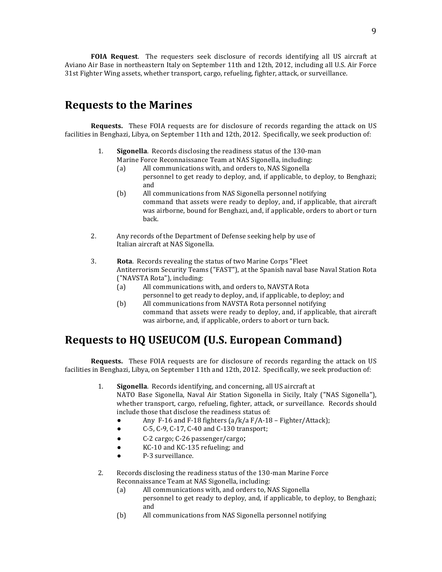**FOIA Request**. The requesters seek disclosure of records identifying all US aircraft at Aviano Air Base in northeastern Italy on September 11th and 12th, 2012, including all U.S. Air Force 31st Fighter Wing assets, whether transport, cargo, refueling, fighter, attack, or surveillance.

### **Requests to the Marines**

**Requests.** These FOIA requests are for disclosure of records regarding the attack on US facilities in Benghazi, Libya, on September 11th and 12th, 2012. Specifically, we seek production of:

- 1. **Sigonella**. Records disclosing the readiness status of the 130-man Marine Force Reconnaissance Team at NAS Sigonella, including:
	- (a) All communications with, and orders to, NAS Sigonella personnel to get ready to deploy, and, if applicable, to deploy, to Benghazi; and
	- (b) All communications from NAS Sigonella personnel notifying command that assets were ready to deploy, and, if applicable, that aircraft was airborne, bound for Benghazi, and, if applicable, orders to abort or turn back.
- 2. Any records of the Department of Defense seeking help by use of Italian aircraft at NAS Sigonella.
- 3. **Rota**. Records revealing the status of two Marine Corps "Fleet Antiterrorism Security Teams ("FAST"), at the Spanish naval base Naval Station Rota ("NAVSTA Rota"), including:
	- (a) All communications with, and orders to, NAVSTA Rota personnel to get ready to deploy, and, if applicable, to deploy; and
	- (b) All communications from NAVSTA Rota personnel notifying command that assets were ready to deploy, and, if applicable, that aircraft was airborne, and, if applicable, orders to abort or turn back.

### **Requests to HQ USEUCOM (U.S. European Command)**

- 1. **Sigonella**. Records identifying, and concerning, all US aircraft at NATO Base Sigonella, Naval Air Station Sigonella in Sicily, Italy ("NAS Sigonella"), whether transport, cargo, refueling, fighter, attack, or surveillance. Records should include those that disclose the readiness status of:
	- Any  $F-16$  and  $F-18$  fighters (a/k/a  $F/A-18$  Fighter/Attack);
	- C-5, C-9, C-17, C-40 and C-130 transport;
	- C-2 cargo; C-26 passenger/cargo;
	- KC-10 and KC-135 refueling; and
	- P-3 surveillance.
- 2. Records disclosing the readiness status of the 130-man Marine Force Reconnaissance Team at NAS Sigonella, including:
	- (a) All communications with, and orders to, NAS Sigonella personnel to get ready to deploy, and, if applicable, to deploy, to Benghazi; and
	- (b) All communications from NAS Sigonella personnel notifying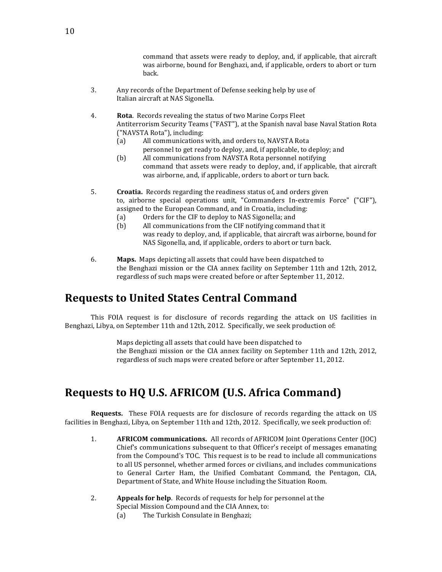command that assets were ready to deploy, and, if applicable, that aircraft was airborne, bound for Benghazi, and, if applicable, orders to abort or turn back.

- 3. Any records of the Department of Defense seeking help by use of Italian aircraft at NAS Sigonella.
- 4. **Rota**. Records revealing the status of two Marine Corps Fleet Antiterrorism Security Teams ("FAST"), at the Spanish naval base Naval Station Rota ("NAVSTA Rota"), including:
	- (a) All communications with, and orders to, NAVSTA Rota personnel to get ready to deploy, and, if applicable, to deploy; and
	- (b) All communications from NAVSTA Rota personnel notifying command that assets were ready to deploy, and, if applicable, that aircraft was airborne, and, if applicable, orders to abort or turn back.
- 5. **Croatia.** Records regarding the readiness status of, and orders given to, airborne special operations unit, "Commanders In-extremis Force" ("CIF"), assigned to the European Command, and in Croatia, including:
	- (a) Orders for the CIF to deploy to NAS Sigonella; and
	- (b) All communications from the CIF notifying command that it was ready to deploy, and, if applicable, that aircraft was airborne, bound for NAS Sigonella, and, if applicable, orders to abort or turn back.
- 6. **Maps.** Maps depicting all assets that could have been dispatched to the Benghazi mission or the CIA annex facility on September 11th and 12th, 2012, regardless of such maps were created before or after September 11, 2012.

### **Requests to United States Central Command**

This FOIA request is for disclosure of records regarding the attack on US facilities in Benghazi, Libya, on September 11th and 12th, 2012. Specifically, we seek production of:

> Maps depicting all assets that could have been dispatched to the Benghazi mission or the CIA annex facility on September 11th and 12th, 2012, regardless of such maps were created before or after September 11, 2012.

### **Requests to HQ U.S. AFRICOM (U.S. Africa Command)**

- 1. **AFRICOM communications.** All records of AFRICOM Joint Operations Center (JOC) Chief's communications subsequent to that Officer's receipt of messages emanating from the Compound's TOC. This request is to be read to include all communications to all US personnel, whether armed forces or civilians, and includes communications to General Carter Ham, the Unified Combatant Command, the Pentagon, CIA, Department of State, and White House including the Situation Room.
- 2. **Appeals for help**. Records of requests for help for personnel at the Special Mission Compound and the CIA Annex, to:
	- (a) The Turkish Consulate in Benghazi;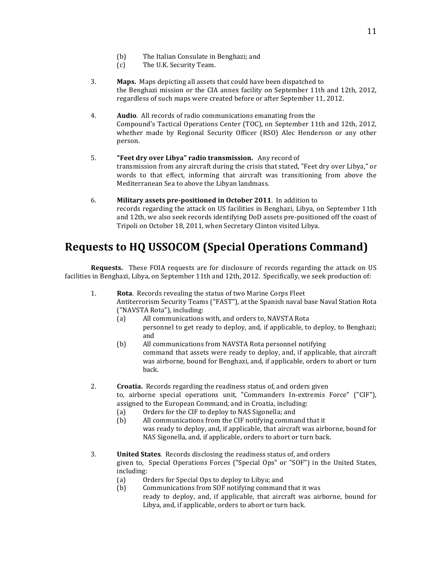- (b) The Italian Consulate in Benghazi; and
- (c) The U.K. Security Team.
- **3. Maps.** Maps depicting all assets that could have been dispatched to the Benghazi mission or the CIA annex facility on September 11th and 12th, 2012, regardless of such maps were created before or after September 11, 2012.
- 4. **Audio**. All records of radio communications emanating from the Compound's Tactical Operations Center (TOC), on September 11th and 12th, 2012, whether made by Regional Security Officer (RSO) Alec Henderson or any other person.
- 5. **"Feet dry over Libya" radio transmission.** Any record of transmission from any aircraft during the crisis that stated, "Feet dry over Libya," or words to that effect, informing that aircraft was transitioning from above the Mediterranean Sea to above the Libyan landmass.
- 6. **Military assets pre-positioned in October 2011**. In addition to records regarding the attack on US facilities in Benghazi, Libya, on September 11th and 12th, we also seek records identifying DoD assets pre-positioned off the coast of Tripoli on October 18, 2011, when Secretary Clinton visited Libya.

### **Requests to HQ USSOCOM (Special Operations Command)**

- 1. **Rota**. Records revealing the status of two Marine Corps Fleet Antiterrorism Security Teams ("FAST"), at the Spanish naval base Naval Station Rota ("NAVSTA Rota"), including:
	- (a) All communications with, and orders to, NAVSTA Rota personnel to get ready to deploy, and, if applicable, to deploy, to Benghazi;
	- and (b) All communications from NAVSTA Rota personnel notifying command that assets were ready to deploy, and, if applicable, that aircraft was airborne, bound for Benghazi, and, if applicable, orders to abort or turn back.
- 2. **Croatia.** Records regarding the readiness status of, and orders given to, airborne special operations unit, "Commanders In-extremis Force" ("CIF"), assigned to the European Command, and in Croatia, including:
	- (a) Orders for the CIF to deploy to NAS Sigonella; and
	- (b) All communications from the CIF notifying command that it was ready to deploy, and, if applicable, that aircraft was airborne, bound for NAS Sigonella, and, if applicable, orders to abort or turn back.
- 3. **United States**. Records disclosing the readiness status of, and orders given to, Special Operations Forces ("Special Ops" or "SOF") in the United States, including:
	- (a) Orders for Special Ops to deploy to Libya; and
	- (b) Communications from SOF notifying command that it was ready to deploy, and, if applicable, that aircraft was airborne, bound for Libya, and, if applicable, orders to abort or turn back.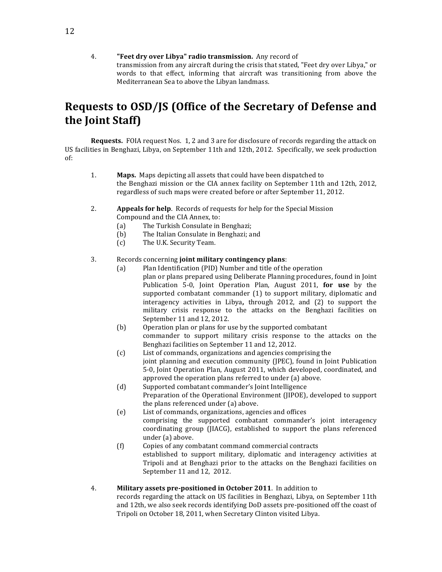4. **"Feet dry over Libya" radio transmission.** Any record of transmission from any aircraft during the crisis that stated, "Feet dry over Libya," or words to that effect, informing that aircraft was transitioning from above the Mediterranean Sea to above the Libyan landmass.

### Requests to OSD/JS (Office of the Secretary of Defense and the Joint Staff)

**Requests.** FOIA request Nos. 1, 2 and 3 are for disclosure of records regarding the attack on US facilities in Benghazi, Libya, on September 11th and 12th, 2012. Specifically, we seek production of: 

- 1. **Maps.** Maps depicting all assets that could have been dispatched to the Benghazi mission or the CIA annex facility on September 11th and 12th, 2012, regardless of such maps were created before or after September 11, 2012.
- 2. **Appeals for help**. Records of requests for help for the Special Mission Compound and the CIA Annex, to:
	- (a) The Turkish Consulate in Benghazi;
	- (b) The Italian Consulate in Benghazi; and
	- (c) The U.K. Security Team.

#### 3. Records concerning **joint military contingency plans**:

- (a) Plan Identification (PID) Number and title of the operation plan or plans prepared using Deliberate Planning procedures, found in Joint Publication 5-0, Joint Operation Plan, August 2011, for use by the supported combatant commander  $(1)$  to support military, diplomatic and interagency activities in Libya**,**  through 2012, and (2) to support the military crisis response to the attacks on the Benghazi facilities on September 11 and 12, 2012.
- (b) Operation plan or plans for use by the supported combatant commander to support military crisis response to the attacks on the Benghazi facilities on September 11 and 12, 2012.
- (c) List of commands, organizations and agencies comprising the joint planning and execution community (JPEC), found in Joint Publication 5-0, Joint Operation Plan, August 2011, which developed, coordinated, and approved the operation plans referred to under  $(a)$  above.
- (d) Supported combatant commander's Joint Intelligence Preparation of the Operational Environment (IIPOE), developed to support the plans referenced under (a) above.
- (e) List of commands, organizations, agencies and offices comprising the supported combatant commander's joint interagency coordinating group (JIACG), established to support the plans referenced under (a) above.
- (f) Copies of any combatant command commercial contracts established to support military, diplomatic and interagency activities at Tripoli and at Benghazi prior to the attacks on the Benghazi facilities on September 11 and 12, 2012.
- 4. **Military assets pre-positioned in October 2011**. In addition to records regarding the attack on US facilities in Benghazi, Libya, on September 11th and 12th, we also seek records identifying DoD assets pre-positioned off the coast of Tripoli on October 18, 2011, when Secretary Clinton visited Libya.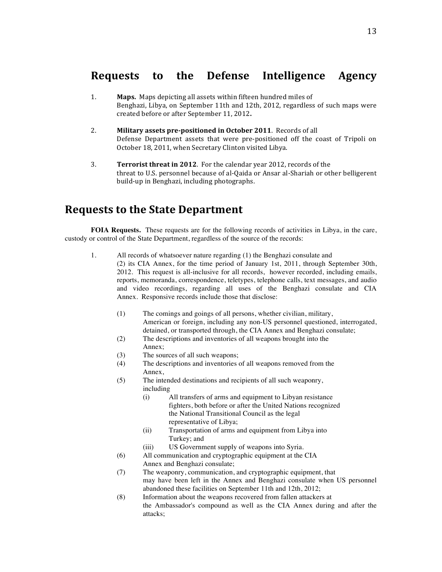### **Requests to the Defense Intelligence Agency**

- 1. **Maps.** Maps depicting all assets within fifteen hundred miles of Benghazi, Libya, on September 11th and 12th, 2012, regardless of such maps were created before or after September 11, 2012.
- 2. **Military assets pre-positioned in October 2011**. Records of all Defense Department assets that were pre-positioned off the coast of Tripoli on October 18, 2011, when Secretary Clinton visited Libya.
- **3. Terrorist threat in 2012**. For the calendar year 2012, records of the threat to U.S. personnel because of al-Qaida or Ansar al-Shariah or other belligerent build-up in Benghazi, including photographs.

### **Requests to the State Department**

**FOIA Requests.** These requests are for the following records of activities in Libya, in the care, custody or control of the State Department, regardless of the source of the records:

- 1. All records of whatsoever nature regarding (1) the Benghazi consulate and (2) its CIA Annex, for the time period of January 1st, 2011, through September 30th, 2012. This request is all-inclusive for all records, however recorded, including emails, reports, memoranda, correspondence, teletypes, telephone calls, text messages, and audio and video recordings, regarding all uses of the Benghazi consulate and CIA Annex. Responsive records include those that disclose:
	- (1) The comings and goings of all persons, whether civilian, military, American or foreign, including any non-US personnel questioned, interrogated, detained, or transported through, the CIA Annex and Benghazi consulate;
	- (2) The descriptions and inventories of all weapons brought into the Annex;
	- (3) The sources of all such weapons;
	- (4) The descriptions and inventories of all weapons removed from the Annex,
	- (5) The intended destinations and recipients of all such weaponry, including
		- (i) All transfers of arms and equipment to Libyan resistance fighters, both before or after the United Nations recognized the National Transitional Council as the legal representative of Libya;
		- (ii) Transportation of arms and equipment from Libya into Turkey; and
		- (iii) US Government supply of weapons into Syria.
	- (6) All communication and cryptographic equipment at the CIA Annex and Benghazi consulate;
	- (7) The weaponry, communication, and cryptographic equipment, that may have been left in the Annex and Benghazi consulate when US personnel abandoned these facilities on September 11th and 12th, 2012;
	- (8) Information about the weapons recovered from fallen attackers at the Ambassador's compound as well as the CIA Annex during and after the attacks;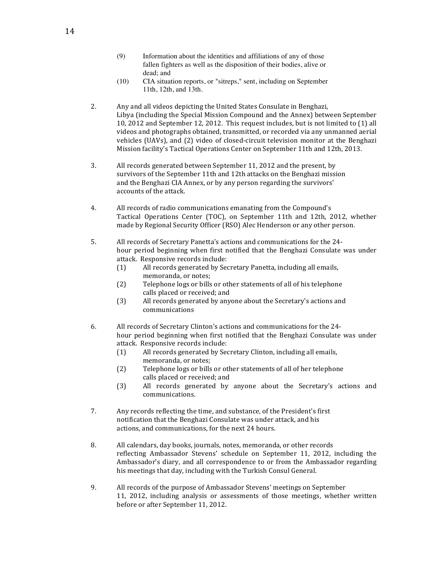- (9) Information about the identities and affiliations of any of those fallen fighters as well as the disposition of their bodies, alive or dead; and
- (10) CIA situation reports, or "sitreps," sent, including on September 11th, 12th, and 13th.
- 2. Any and all videos depicting the United States Consulate in Benghazi, Libya (including the Special Mission Compound and the Annex) between September 10, 2012 and September 12, 2012. This request includes, but is not limited to (1) all videos and photographs obtained, transmitted, or recorded via any unmanned aerial vehicles (UAVs), and (2) video of closed-circuit television monitor at the Benghazi Mission facility's Tactical Operations Center on September 11th and 12th, 2013.
- 3. All records generated between September 11, 2012 and the present, by survivors of the September 11th and 12th attacks on the Benghazi mission and the Benghazi CIA Annex, or by any person regarding the survivors' accounts of the attack.
- 4. All records of radio communications emanating from the Compound's Tactical Operations Center (TOC), on September 11th and 12th, 2012, whether made by Regional Security Officer (RSO) Alec Henderson or any other person.
- 5. All records of Secretary Panetta's actions and communications for the 24hour period beginning when first notified that the Benghazi Consulate was under attack. Responsive records include:
	- (1) All records generated by Secretary Panetta, including all emails, memoranda, or notes;
	- (2) Telephone logs or bills or other statements of all of his telephone calls placed or received; and
	- (3) All records generated by anyone about the Secretary's actions and communications
- 6. All records of Secretary Clinton's actions and communications for the 24hour period beginning when first notified that the Benghazi Consulate was under attack. Responsive records include:
	- (1) All records generated by Secretary Clinton, including all emails, memoranda, or notes:
	- (2) Telephone logs or bills or other statements of all of her telephone calls placed or received; and
	- (3) All records generated by anyone about the Secretary's actions and communications.
- 7. Any records reflecting the time, and substance, of the President's first notification that the Benghazi Consulate was under attack, and his actions, and communications, for the next 24 hours.
- 8. All calendars, day books, journals, notes, memoranda, or other records reflecting Ambassador Stevens' schedule on September 11, 2012, including the Ambassador's diary, and all correspondence to or from the Ambassador regarding his meetings that day, including with the Turkish Consul General.
- 9. All records of the purpose of Ambassador Stevens' meetings on September 11, 2012, including analysis or assessments of those meetings, whether written before or after September 11, 2012.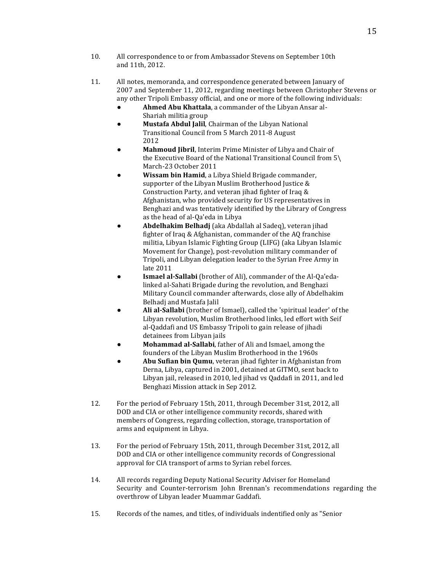- 10. All correspondence to or from Ambassador Stevens on September 10th and 11th, 2012.
- 11. All notes, memoranda, and correspondence generated between January of 2007 and September 11, 2012, regarding meetings between Christopher Stevens or any other Tripoli Embassy official, and one or more of the following individuals:
	- **• Ahmed Abu Khattala**, a commander of the Libyan Ansar al-Shariah militia group
	- **Mustafa Abdul Jalil**, Chairman of the Libyan National Transitional Council from 5 March 2011-8 August 2012
	- **Mahmoud Jibril**, Interim Prime Minister of Libya and Chair of the Executive Board of the National Transitional Council from  $5\$ March-23 October 2011
	- **Wissam bin Hamid**, a Libya Shield Brigade commander, supporter of the Libyan Muslim Brotherhood Justice  $&$ Construction Party, and veteran jihad fighter of Iraq & Afghanistan, who provided security for US representatives in Benghazi and was tentatively identified by the Library of Congress as the head of al-Qa'eda in Libya
	- **Abdelhakim Belhadj** (aka Abdallah al Sadeq), veteran jihad fighter of Iraq & Afghanistan, commander of the AQ franchise militia, Libyan Islamic Fighting Group (LIFG) (aka Libyan Islamic Movement for Change), post-revolution military commander of Tripoli, and Libyan delegation leader to the Syrian Free Army in late 2011
	- **Ismael al-Sallabi** (brother of Ali), commander of the Al-Qa'edalinked al-Sahati Brigade during the revolution, and Benghazi Military Council commander afterwards, close ally of Abdelhakim Belhadj and Mustafa Jalil
	- Ali al-Sallabi (brother of Ismael), called the 'spiritual leader' of the Libyan revolution, Muslim Brotherhood links, led effort with Seif al-Qaddafi and US Embassy Tripoli to gain release of jihadi detainees from Libyan jails
	- **Mohammad al-Sallabi**, father of Ali and Ismael, among the founders of the Libyan Muslim Brotherhood in the 1960s
	- Abu Sufian bin Qumu, veteran jihad fighter in Afghanistan from Derna, Libya, captured in 2001, detained at GITMO, sent back to Libyan jail, released in 2010, led jihad vs Qaddafi in 2011, and led Benghazi Mission attack in Sep 2012.
- 12. For the period of February 15th, 2011, through December 31st, 2012, all DOD and CIA or other intelligence community records, shared with members of Congress, regarding collection, storage, transportation of arms and equipment in Libya.
- 13. For the period of February 15th, 2011, through December 31st, 2012, all DOD and CIA or other intelligence community records of Congressional approval for CIA transport of arms to Syrian rebel forces.
- 14. All records regarding Deputy National Security Adviser for Homeland Security and Counter-terrorism John Brennan's recommendations regarding the overthrow of Libyan leader Muammar Gaddafi.
- 15. Records of the names, and titles, of individuals indentified only as "Senior"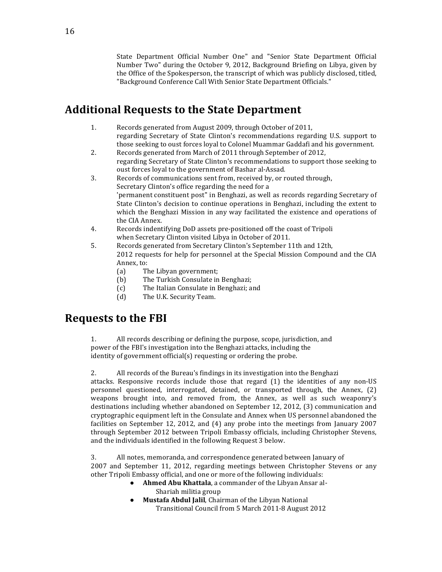State Department Official Number One" and "Senior State Department Official Number Two" during the October 9, 2012, Background Briefing on Libya, given by the Office of the Spokesperson, the transcript of which was publicly disclosed, titled, "Background Conference Call With Senior State Department Officials."

### **Additional Requests to the State Department**

- 1. Records generated from August 2009, through October of 2011, regarding Secretary of State Clinton's recommendations regarding U.S. support to those seeking to oust forces loyal to Colonel Muammar Gaddafi and his government.
- 2. Records generated from March of 2011 through September of 2012, regarding Secretary of State Clinton's recommendations to support those seeking to oust forces loyal to the government of Bashar al-Assad.
- 3. Records of communications sent from, received by, or routed through, Secretary Clinton's office regarding the need for a 'permanent constituent post" in Benghazi, as well as records regarding Secretary of State Clinton's decision to continue operations in Benghazi, including the extent to which the Benghazi Mission in any way facilitated the existence and operations of the CIA Annex.
- 4. Records indentifying DoD assets pre-positioned off the coast of Tripoli when Secretary Clinton visited Libya in October of 2011.
- 5. Records generated from Secretary Clinton's September 11th and 12th, 2012 requests for help for personnel at the Special Mission Compound and the CIA Annex, to:
	- (a) The Libyan government;
	- (b) The Turkish Consulate in Benghazi;
	- (c) The Italian Consulate in Benghazi; and
	- (d) The U.K. Security Team.

### **Requests to the FBI**

1. All records describing or defining the purpose, scope, jurisdiction, and power of the FBI's investigation into the Benghazi attacks, including the identity of government official(s) requesting or ordering the probe.

2. All records of the Bureau's findings in its investigation into the Benghazi attacks. Responsive records include those that regard  $(1)$  the identities of any non-US personnel questioned, interrogated, detained, or transported through, the Annex, (2) weapons brought into, and removed from, the Annex, as well as such weaponry's destinations including whether abandoned on September 12, 2012, (3) communication and cryptographic equipment left in the Consulate and Annex when US personnel abandoned the facilities on September 12, 2012, and  $(4)$  any probe into the meetings from January 2007 through September 2012 between Tripoli Embassy officials, including Christopher Stevens, and the individuals identified in the following Request 3 below.

3. All notes, memoranda, and correspondence generated between January of 2007 and September 11, 2012, regarding meetings between Christopher Stevens or any other Tripoli Embassy official, and one or more of the following individuals:

- **Ahmed Abu Khattala**, a commander of the Libyan Ansar al-Shariah militia group
- **Mustafa Abdul Jalil**, Chairman of the Libyan National Transitional Council from 5 March 2011-8 August 2012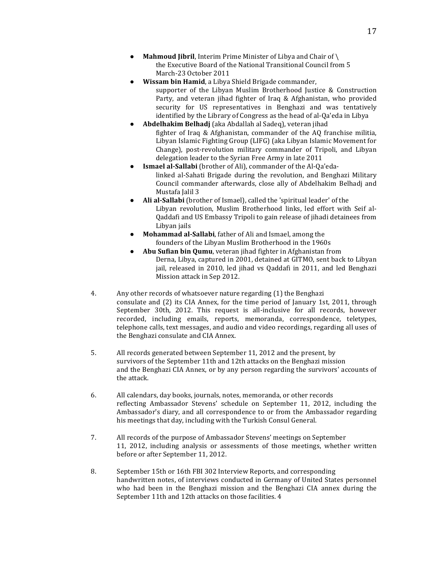- **Mahmoud Jibril**, Interim Prime Minister of Libya and Chair of \ the Executive Board of the National Transitional Council from 5 March-23 October 2011
- **Wissam bin Hamid**, a Libya Shield Brigade commander, supporter of the Libyan Muslim Brotherhood Justice & Construction Party, and veteran jihad fighter of Iraq & Afghanistan, who provided security for US representatives in Benghazi and was tentatively identified by the Library of Congress as the head of al-Qa'eda in Libya
- **Abdelhakim Belhadj** (aka Abdallah al Sadeq), veteran jihad fighter of Iraq & Afghanistan, commander of the  $AO$  franchise militia, Libyan Islamic Fighting Group (LIFG) (aka Libyan Islamic Movement for Change), post-revolution military commander of Tripoli, and Libyan delegation leader to the Syrian Free Army in late 2011
- **Ismael al-Sallabi** (brother of Ali), commander of the Al-Qa'edalinked al-Sahati Brigade during the revolution, and Benghazi Military Council commander afterwards, close ally of Abdelhakim Belhadj and Mustafa Jalil 3
- **Ali al-Sallabi** (brother of Ismael), called the 'spiritual leader' of the Libyan revolution, Muslim Brotherhood links, led effort with Seif al-Oaddafi and US Embassy Tripoli to gain release of jihadi detainees from Libyan jails
- **Mohammad al-Sallabi**, father of Ali and Ismael, among the founders of the Libyan Muslim Brotherhood in the 1960s
- **Abu Sufian bin Qumu**, veteran jihad fighter in Afghanistan from Derna, Libya, captured in 2001, detained at GITMO, sent back to Libyan jail, released in 2010, led jihad vs Qaddafi in 2011, and led Benghazi Mission attack in Sep 2012.
- 4. Any other records of whatsoever nature regarding (1) the Benghazi consulate and (2) its CIA Annex, for the time period of January 1st, 2011, through September 30th, 2012. This request is all-inclusive for all records, however recorded, including emails, reports, memoranda, correspondence, teletypes, telephone calls, text messages, and audio and video recordings, regarding all uses of the Benghazi consulate and CIA Annex.
- 5. All records generated between September 11, 2012 and the present, by survivors of the September 11th and 12th attacks on the Benghazi mission and the Benghazi CIA Annex, or by any person regarding the survivors' accounts of the attack.
- 6. All calendars, day books, journals, notes, memoranda, or other records reflecting Ambassador Stevens' schedule on September 11, 2012, including the Ambassador's diary, and all correspondence to or from the Ambassador regarding his meetings that day, including with the Turkish Consul General.
- 7. All records of the purpose of Ambassador Stevens' meetings on September 11, 2012, including analysis or assessments of those meetings, whether written before or after September 11, 2012.
- 8. September 15th or 16th FBI 302 Interview Reports, and corresponding handwritten notes, of interviews conducted in Germany of United States personnel who had been in the Benghazi mission and the Benghazi CIA annex during the September 11th and 12th attacks on those facilities. 4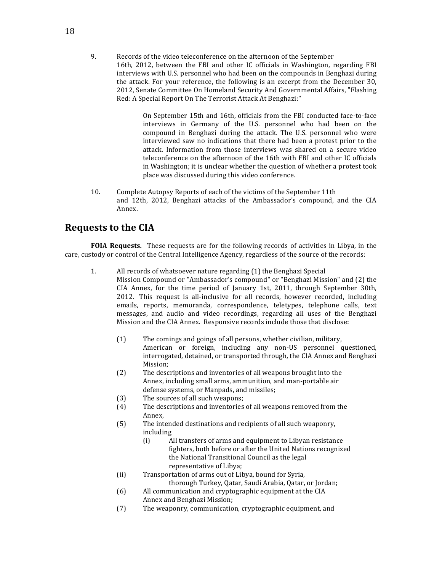9. Records of the video teleconference on the afternoon of the September 16th, 2012, between the FBI and other IC officials in Washington, regarding FBI interviews with U.S. personnel who had been on the compounds in Benghazi during the attack. For your reference, the following is an excerpt from the December 30, 2012, Senate Committee On Homeland Security And Governmental Affairs, "Flashing Red: A Special Report On The Terrorist Attack At Benghazi:"

> On September 15th and 16th, officials from the FBI conducted face-to-face interviews in Germany of the U.S. personnel who had been on the compound in Benghazi during the attack. The U.S. personnel who were interviewed saw no indications that there had been a protest prior to the attack. Information from those interviews was shared on a secure video teleconference on the afternoon of the 16th with FBI and other IC officials in Washington; it is unclear whether the question of whether a protest took place was discussed during this video conference.

10. Complete Autopsy Reports of each of the victims of the September 11th and 12th, 2012, Benghazi attacks of the Ambassador's compound, and the CIA Annex.

### **Requests to the CIA**

**FOIA Requests.** These requests are for the following records of activities in Libya, in the care, custody or control of the Central Intelligence Agency, regardless of the source of the records:

- 1. All records of whatsoever nature regarding (1) the Benghazi Special Mission Compound or "Ambassador's compound" or "Benghazi Mission" and (2) the  $CIA$  Annex, for the time period of January 1st,  $2011$ , through September 30th, 2012. This request is all-inclusive for all records, however recorded, including emails, reports, memoranda, correspondence, teletypes, telephone calls, text messages, and audio and video recordings, regarding all uses of the Benghazi Mission and the CIA Annex. Responsive records include those that disclose:
	- $(1)$  The comings and goings of all persons, whether civilian, military, American or foreign, including any non-US personnel questioned, interrogated, detained, or transported through, the CIA Annex and Benghazi Mission;
	- (2) The descriptions and inventories of all weapons brought into the Annex, including small arms, ammunition, and man-portable air defense systems, or Manpads, and missiles;
	- $(3)$  The sources of all such weapons;
	- (4) The descriptions and inventories of all weapons removed from the Annex,
	- (5) The intended destinations and recipients of all such weaponry, including
		- (i) All transfers of arms and equipment to Libyan resistance fighters, both before or after the United Nations recognized the National Transitional Council as the legal representative of Libya;
	- (ii) Transportation of arms out of Libya, bound for Syria, thorough Turkey, Qatar, Saudi Arabia, Qatar, or Jordan;
	- (6) All communication and cryptographic equipment at the CIA Annex and Benghazi Mission;
	- (7) The weaponry, communication, cryptographic equipment, and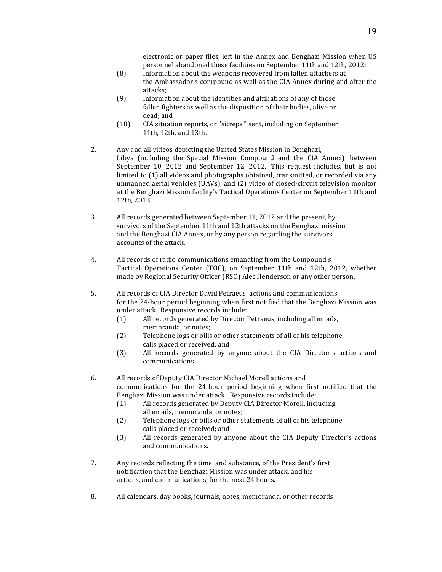electronic or paper files, left in the Annex and Benghazi Mission when US personnel abandoned these facilities on September 11th and 12th, 2012;

- (8) Information about the weapons recovered from fallen attackers at the Ambassador's compound as well as the CIA Annex during and after the attacks;
- (9) Information about the identities and affiliations of any of those fallen fighters as well as the disposition of their bodies, alive or dead; and
- (10) CIA situation reports, or "sitreps," sent, including on September 11th, 12th, and 13th.
- 2. Any and all videos depicting the United States Mission in Benghazi, Libya (including the Special Mission Compound and the CIA Annex) between September 10, 2012 and September 12, 2012. This request includes, but is not limited to (1) all videos and photographs obtained, transmitted, or recorded via any unmanned aerial vehicles (UAVs), and (2) video of closed-circuit television monitor at the Benghazi Mission facility's Tactical Operations Center on September 11th and 12th, 2013.
- 3. All records generated between September 11, 2012 and the present, by survivors of the September 11th and 12th attacks on the Benghazi mission and the Benghazi CIA Annex, or by any person regarding the survivors' accounts of the attack.
- 4. All records of radio communications emanating from the Compound's Tactical Operations Center (TOC), on September 11th and 12th, 2012, whether made by Regional Security Officer (RSO) Alec Henderson or any other person.
- 5. All records of CIA Director David Petraeus' actions and communications for the 24-hour period beginning when first notified that the Benghazi Mission was under attack. Responsive records include:
	- (1) All records generated by Director Petraeus, including all emails, memoranda, or notes;
	- (2) Telephone logs or bills or other statements of all of his telephone calls placed or received; and
	- (3) All records generated by anyone about the CIA Director's actions and communications.
- 6. All records of Deputy CIA Director Michael Morell actions and communications for the 24-hour period beginning when first notified that the Benghazi Mission was under attack. Responsive records include:
	- (1) All records generated by Deputy CIA Director Morell, including all emails, memoranda, or notes;
	- (2) Telephone logs or bills or other statements of all of his telephone calls placed or received; and
	- (3) All records generated by anyone about the CIA Deputy Director's actions and communications.
- 7. Any records reflecting the time, and substance, of the President's first notification that the Benghazi Mission was under attack, and his actions, and communications, for the next 24 hours.
- 8. All calendars, day books, journals, notes, memoranda, or other records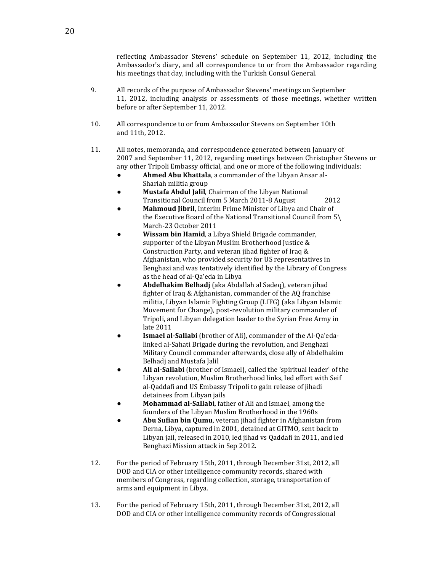reflecting Ambassador Stevens' schedule on September 11, 2012, including the Ambassador's diary, and all correspondence to or from the Ambassador regarding his meetings that day, including with the Turkish Consul General.

- 9. All records of the purpose of Ambassador Stevens' meetings on September 11, 2012, including analysis or assessments of those meetings, whether written before or after September 11, 2012.
- 10. All correspondence to or from Ambassador Stevens on September 10th and 11th, 2012.
- 11. All notes, memoranda, and correspondence generated between January of 2007 and September 11, 2012, regarding meetings between Christopher Stevens or any other Tripoli Embassy official, and one or more of the following individuals:
	- Ahmed Abu Khattala, a commander of the Libyan Ansar al-Shariah militia group
	- **Mustafa Abdul Jalil**, Chairman of the Libyan National Transitional Council from 5 March 2011-8 August 2012
	- **Mahmoud Jibril**, Interim Prime Minister of Libya and Chair of the Executive Board of the National Transitional Council from  $5\$ March-23 October 2011
	- **Wissam bin Hamid**, a Libya Shield Brigade commander, supporter of the Libyan Muslim Brotherhood Justice  $&$ Construction Party, and veteran jihad fighter of Iraq  $&$ Afghanistan, who provided security for US representatives in Benghazi and was tentatively identified by the Library of Congress as the head of al-Oa'eda in Libya
	- **Abdelhakim Belhadj** (aka Abdallah al Sadeq), veteran jihad fighter of Iraq & Afghanistan, commander of the AQ franchise militia, Libyan Islamic Fighting Group (LIFG) (aka Libyan Islamic Movement for Change), post-revolution military commander of Tripoli, and Libyan delegation leader to the Syrian Free Army in late 2011
	- **Ismael al-Sallabi** (brother of Ali), commander of the Al-Qa'edalinked al-Sahati Brigade during the revolution, and Benghazi Military Council commander afterwards, close ally of Abdelhakim Belhadj and Mustafa Jalil
	- Ali al-Sallabi (brother of Ismael), called the 'spiritual leader' of the Libyan revolution, Muslim Brotherhood links, led effort with Seif al-Qaddafi and US Embassy Tripoli to gain release of jihadi detainees from Libyan jails
	- **Mohammad al-Sallabi**, father of Ali and Ismael, among the founders of the Libyan Muslim Brotherhood in the 1960s
	- Abu Sufian bin Qumu, veteran jihad fighter in Afghanistan from Derna, Libya, captured in 2001, detained at GITMO, sent back to Libyan jail, released in 2010, led jihad vs Qaddafi in 2011, and led Benghazi Mission attack in Sep 2012.
- 12. For the period of February 15th, 2011, through December 31st, 2012, all DOD and CIA or other intelligence community records, shared with members of Congress, regarding collection, storage, transportation of arms and equipment in Libya.
- 13. For the period of February 15th, 2011, through December 31st, 2012, all DOD and CIA or other intelligence community records of Congressional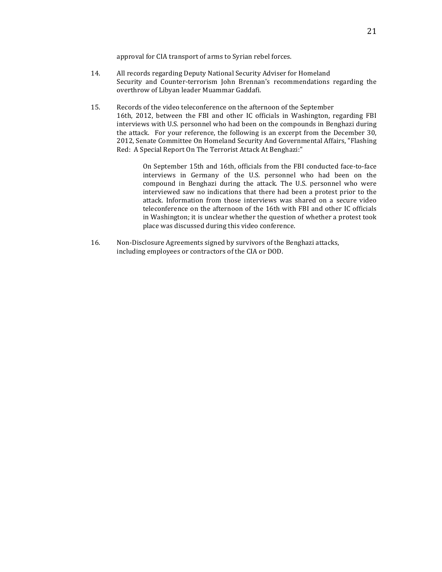approval for CIA transport of arms to Syrian rebel forces.

- 14. All records regarding Deputy National Security Adviser for Homeland Security and Counter-terrorism John Brennan's recommendations regarding the overthrow of Libyan leader Muammar Gaddafi.
- 15. Records of the video teleconference on the afternoon of the September 16th, 2012, between the FBI and other IC officials in Washington, regarding FBI interviews with U.S. personnel who had been on the compounds in Benghazi during the attack. For your reference, the following is an excerpt from the December 30, 2012, Senate Committee On Homeland Security And Governmental Affairs, "Flashing Red: A Special Report On The Terrorist Attack At Benghazi:"

On September 15th and 16th, officials from the FBI conducted face-to-face interviews in Germany of the U.S. personnel who had been on the compound in Benghazi during the attack. The U.S. personnel who were interviewed saw no indications that there had been a protest prior to the attack. Information from those interviews was shared on a secure video teleconference on the afternoon of the 16th with FBI and other IC officials in Washington; it is unclear whether the question of whether a protest took place was discussed during this video conference.

16. Non-Disclosure Agreements signed by survivors of the Benghazi attacks, including employees or contractors of the CIA or DOD.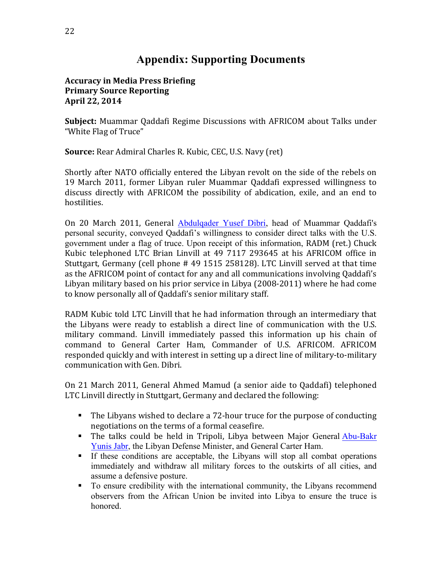### **Appendix: Supporting Documents**

### **Accuracy in Media Press Briefing Primary Source Reporting April 22, 2014**

**Subject:** Muammar Qaddafi Regime Discussions with AFRICOM about Talks under "White Flag of Truce"

**Source:** Rear Admiral Charles R. Kubic, CEC, U.S. Navy (ret)

Shortly after NATO officially entered the Libyan revolt on the side of the rebels on 19 March 2011, former Libyan ruler Muammar Qaddafi expressed willingness to discuss directly with AFRICOM the possibility of abdication, exile, and an end to hostilities.

On 20 March 2011, General Abdulgader Yusef Dibri, head of Muammar Qaddafi's personal security, conveyed Qaddafi's willingness to consider direct talks with the U.S. government under a flag of truce. Upon receipt of this information, RADM (ret.) Chuck Kubic telephoned LTC Brian Linvill at 49 7117 293645 at his AFRICOM office in Stuttgart, Germany (cell phone  $#$  49 1515 258128). LTC Linvill served at that time as the AFRICOM point of contact for any and all communications involving Qaddafi's Libyan military based on his prior service in Libya (2008-2011) where he had come to know personally all of Qaddafi's senior military staff.

RADM Kubic told LTC Linvill that he had information through an intermediary that the Libyans were ready to establish a direct line of communication with the U.S. military command. Linvill immediately passed this information up his chain of command to General Carter Ham, Commander of U.S. AFRICOM. AFRICOM responded quickly and with interest in setting up a direct line of military-to-military communication with Gen. Dibri.

On 21 March 2011, General Ahmed Mamud (a senior aide to Oaddafi) telephoned LTC Linvill directly in Stuttgart, Germany and declared the following:

- The Libyans wished to declare a 72-hour truce for the purpose of conducting negotiations on the terms of a formal ceasefire.
- The talks could be held in Tripoli, Libya between Major General Abu-Bakr Yunis Jabr, the Libyan Defense Minister, and General Carter Ham.
- § If these conditions are acceptable, the Libyans will stop all combat operations immediately and withdraw all military forces to the outskirts of all cities, and assume a defensive posture.
- § To ensure credibility with the international community, the Libyans recommend observers from the African Union be invited into Libya to ensure the truce is honored.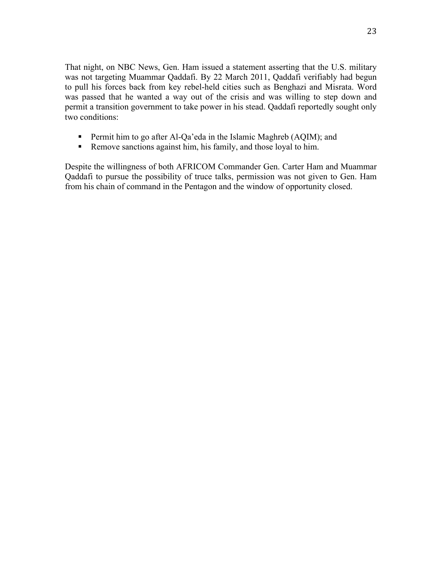That night, on NBC News, Gen. Ham issued a statement asserting that the U.S. military was not targeting Muammar Qaddafi. By 22 March 2011, Qaddafi verifiably had begun to pull his forces back from key rebel-held cities such as Benghazi and Misrata. Word was passed that he wanted a way out of the crisis and was willing to step down and permit a transition government to take power in his stead. Qaddafi reportedly sought only two conditions:

- Permit him to go after Al-Qa'eda in the Islamic Maghreb (AQIM); and
- Remove sanctions against him, his family, and those loyal to him.

Despite the willingness of both AFRICOM Commander Gen. Carter Ham and Muammar Qaddafi to pursue the possibility of truce talks, permission was not given to Gen. Ham from his chain of command in the Pentagon and the window of opportunity closed.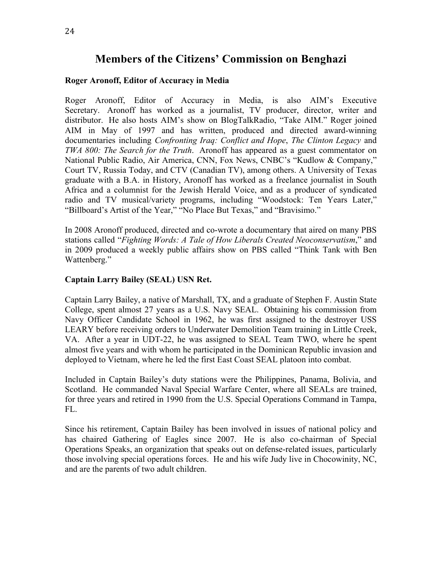### **Members of the Citizens' Commission on Benghazi**

#### **Roger Aronoff, Editor of Accuracy in Media**

Roger Aronoff, Editor of Accuracy in Media, is also AIM's Executive Secretary. Aronoff has worked as a journalist, TV producer, director, writer and distributor. He also hosts AIM's show on BlogTalkRadio, "Take AIM." Roger joined AIM in May of 1997 and has written, produced and directed award-winning documentaries including *Confronting Iraq: Conflict and Hope*, *The Clinton Legacy* and *TWA 800: The Search for the Truth*. Aronoff has appeared as a guest commentator on National Public Radio, Air America, CNN, Fox News, CNBC's "Kudlow & Company," Court TV, Russia Today, and CTV (Canadian TV), among others. A University of Texas graduate with a B.A. in History, Aronoff has worked as a freelance journalist in South Africa and a columnist for the Jewish Herald Voice, and as a producer of syndicated radio and TV musical/variety programs, including "Woodstock: Ten Years Later," "Billboard's Artist of the Year," "No Place But Texas," and "Bravisimo."

In 2008 Aronoff produced, directed and co-wrote a documentary that aired on many PBS stations called "*Fighting Words: A Tale of How Liberals Created Neoconservatism*," and in 2009 produced a weekly public affairs show on PBS called "Think Tank with Ben Wattenberg."

#### **Captain Larry Bailey (SEAL) USN Ret.**

Captain Larry Bailey, a native of Marshall, TX, and a graduate of Stephen F. Austin State College, spent almost 27 years as a U.S. Navy SEAL. Obtaining his commission from Navy Officer Candidate School in 1962, he was first assigned to the destroyer USS LEARY before receiving orders to Underwater Demolition Team training in Little Creek, VA. After a year in UDT-22, he was assigned to SEAL Team TWO, where he spent almost five years and with whom he participated in the Dominican Republic invasion and deployed to Vietnam, where he led the first East Coast SEAL platoon into combat.

Included in Captain Bailey's duty stations were the Philippines, Panama, Bolivia, and Scotland. He commanded Naval Special Warfare Center, where all SEALs are trained, for three years and retired in 1990 from the U.S. Special Operations Command in Tampa, FL.

Since his retirement, Captain Bailey has been involved in issues of national policy and has chaired Gathering of Eagles since 2007. He is also co-chairman of Special Operations Speaks, an organization that speaks out on defense-related issues, particularly those involving special operations forces. He and his wife Judy live in Chocowinity, NC, and are the parents of two adult children.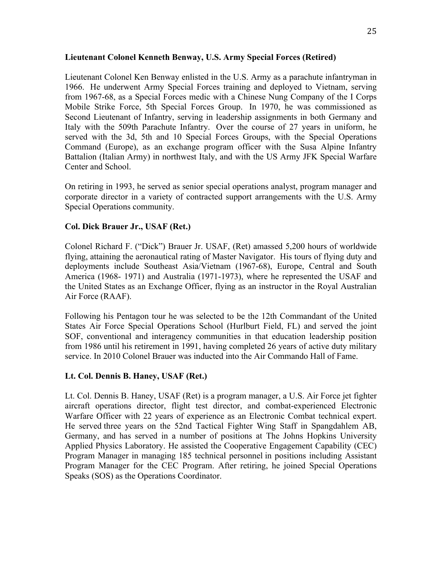#### **Lieutenant Colonel Kenneth Benway, U.S. Army Special Forces (Retired)**

Lieutenant Colonel Ken Benway enlisted in the U.S. Army as a parachute infantryman in 1966. He underwent Army Special Forces training and deployed to Vietnam, serving from 1967-68, as a Special Forces medic with a Chinese Nung Company of the I Corps Mobile Strike Force, 5th Special Forces Group. In 1970, he was commissioned as Second Lieutenant of Infantry, serving in leadership assignments in both Germany and Italy with the 509th Parachute Infantry. Over the course of 27 years in uniform, he served with the 3d, 5th and 10 Special Forces Groups, with the Special Operations Command (Europe), as an exchange program officer with the Susa Alpine Infantry Battalion (Italian Army) in northwest Italy, and with the US Army JFK Special Warfare Center and School.

On retiring in 1993, he served as senior special operations analyst, program manager and corporate director in a variety of contracted support arrangements with the U.S. Army Special Operations community.

### **Col. Dick Brauer Jr., USAF (Ret.)**

Colonel Richard F. ("Dick") Brauer Jr. USAF, (Ret) amassed 5,200 hours of worldwide flying, attaining the aeronautical rating of Master Navigator. His tours of flying duty and deployments include Southeast Asia/Vietnam (1967-68), Europe, Central and South America (1968- 1971) and Australia (1971-1973), where he represented the USAF and the United States as an Exchange Officer, flying as an instructor in the Royal Australian Air Force (RAAF).

Following his Pentagon tour he was selected to be the 12th Commandant of the United States Air Force Special Operations School (Hurlburt Field, FL) and served the joint SOF, conventional and interagency communities in that education leadership position from 1986 until his retirement in 1991, having completed 26 years of active duty military service. In 2010 Colonel Brauer was inducted into the Air Commando Hall of Fame.

### **Lt. Col. Dennis B. Haney, USAF (Ret.)**

Lt. Col. Dennis B. Haney, USAF (Ret) is a program manager, a U.S. Air Force jet fighter aircraft operations director, flight test director, and combat-experienced Electronic Warfare Officer with 22 years of experience as an Electronic Combat technical expert. He served three years on the 52nd Tactical Fighter Wing Staff in Spangdahlem AB, Germany, and has served in a number of positions at The Johns Hopkins University Applied Physics Laboratory. He assisted the Cooperative Engagement Capability (CEC) Program Manager in managing 185 technical personnel in positions including Assistant Program Manager for the CEC Program. After retiring, he joined Special Operations Speaks (SOS) as the Operations Coordinator.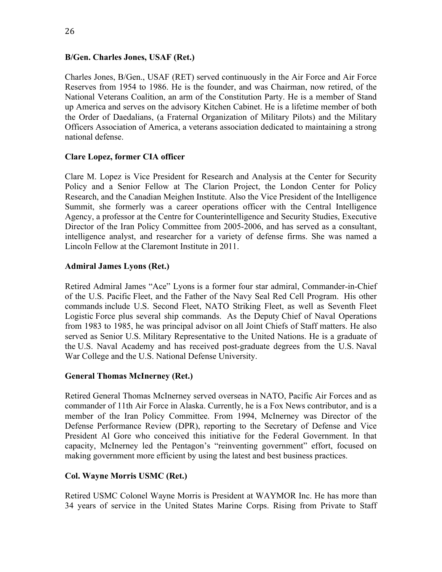#### **B/Gen. Charles Jones, USAF (Ret.)**

Charles Jones, B/Gen., USAF (RET) served continuously in the Air Force and Air Force Reserves from 1954 to 1986. He is the founder, and was Chairman, now retired, of the National Veterans Coalition, an arm of the Constitution Party. He is a member of Stand up America and serves on the advisory Kitchen Cabinet. He is a lifetime member of both the Order of Daedalians, (a Fraternal Organization of Military Pilots) and the Military Officers Association of America, a veterans association dedicated to maintaining a strong national defense.

#### **Clare Lopez, former CIA officer**

Clare M. Lopez is Vice President for Research and Analysis at the Center for Security Policy and a Senior Fellow at The Clarion Project, the London Center for Policy Research, and the Canadian Meighen Institute. Also the Vice President of the Intelligence Summit, she formerly was a career operations officer with the Central Intelligence Agency, a professor at the Centre for Counterintelligence and Security Studies, Executive Director of the Iran Policy Committee from 2005-2006, and has served as a consultant, intelligence analyst, and researcher for a variety of defense firms. She was named a Lincoln Fellow at the Claremont Institute in 2011.

#### **Admiral James Lyons (Ret.)**

Retired Admiral James "Ace" Lyons is a former four star admiral, Commander-in-Chief of the U.S. Pacific Fleet, and the Father of the Navy Seal Red Cell Program. His other commands include U.S. Second Fleet, NATO Striking Fleet, as well as Seventh Fleet Logistic Force plus several ship commands. As the Deputy Chief of Naval Operations from 1983 to 1985, he was principal advisor on all Joint Chiefs of Staff matters. He also served as Senior U.S. Military Representative to the United Nations. He is a graduate of the U.S. Naval Academy and has received post-graduate degrees from the U.S. Naval War College and the U.S. National Defense University.

#### **General Thomas McInerney (Ret.)**

Retired General Thomas McInerney served overseas in NATO, Pacific Air Forces and as commander of 11th Air Force in Alaska. Currently, he is a Fox News contributor, and is a member of the Iran Policy Committee. From 1994, McInerney was Director of the Defense Performance Review (DPR), reporting to the Secretary of Defense and Vice President Al Gore who conceived this initiative for the Federal Government. In that capacity, McInerney led the Pentagon's "reinventing government" effort, focused on making government more efficient by using the latest and best business practices.

#### **Col. Wayne Morris USMC (Ret.)**

Retired USMC Colonel Wayne Morris is President at WAYMOR Inc. He has more than 34 years of service in the United States Marine Corps. Rising from Private to Staff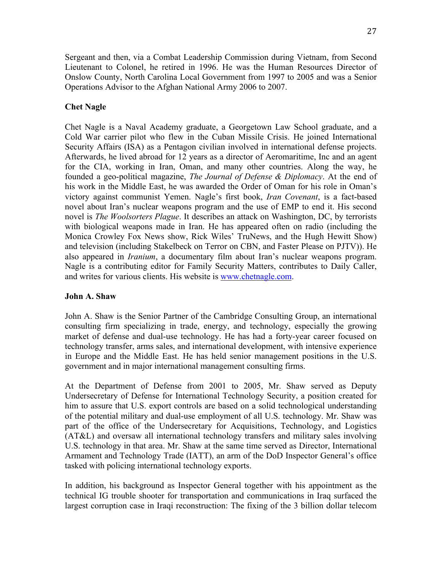Sergeant and then, via a Combat Leadership Commission during Vietnam, from Second Lieutenant to Colonel, he retired in 1996. He was the Human Resources Director of Onslow County, North Carolina Local Government from 1997 to 2005 and was a Senior Operations Advisor to the Afghan National Army 2006 to 2007.

### **Chet Nagle**

Chet Nagle is a Naval Academy graduate, a Georgetown Law School graduate, and a Cold War carrier pilot who flew in the Cuban Missile Crisis. He joined International Security Affairs (ISA) as a Pentagon civilian involved in international defense projects. Afterwards, he lived abroad for 12 years as a director of Aeromaritime, Inc and an agent for the CIA, working in Iran, Oman, and many other countries. Along the way, he founded a geo-political magazine, *The Journal of Defense & Diplomacy*. At the end of his work in the Middle East, he was awarded the Order of Oman for his role in Oman's victory against communist Yemen. Nagle's first book, *Iran Covenant*, is a fact-based novel about Iran's nuclear weapons program and the use of EMP to end it. His second novel is *The Woolsorters Plague*. It describes an attack on Washington, DC, by terrorists with biological weapons made in Iran. He has appeared often on radio (including the Monica Crowley Fox News show, Rick Wiles' TruNews, and the Hugh Hewitt Show) and television (including Stakelbeck on Terror on CBN, and Faster Please on PJTV)). He also appeared in *Iranium*, a documentary film about Iran's nuclear weapons program. Nagle is a contributing editor for Family Security Matters, contributes to Daily Caller, and writes for various clients. His website is www.chetnagle.com.

### **John A. Shaw**

John A. Shaw is the Senior Partner of the Cambridge Consulting Group, an international consulting firm specializing in trade, energy, and technology, especially the growing market of defense and dual-use technology. He has had a forty-year career focused on technology transfer, arms sales, and international development, with intensive experience in Europe and the Middle East. He has held senior management positions in the U.S. government and in major international management consulting firms.

At the Department of Defense from 2001 to 2005, Mr. Shaw served as Deputy Undersecretary of Defense for International Technology Security, a position created for him to assure that U.S. export controls are based on a solid technological understanding of the potential military and dual-use employment of all U.S. technology. Mr. Shaw was part of the office of the Undersecretary for Acquisitions, Technology, and Logistics (AT&L) and oversaw all international technology transfers and military sales involving U.S. technology in that area. Mr. Shaw at the same time served as Director, International Armament and Technology Trade (IATT), an arm of the DoD Inspector General's office tasked with policing international technology exports.

In addition, his background as Inspector General together with his appointment as the technical IG trouble shooter for transportation and communications in Iraq surfaced the largest corruption case in Iraqi reconstruction: The fixing of the 3 billion dollar telecom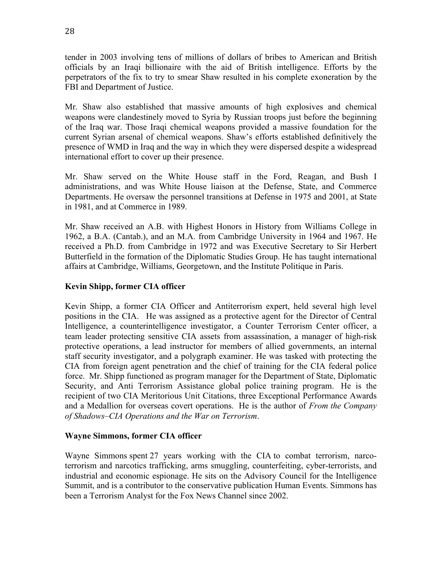tender in 2003 involving tens of millions of dollars of bribes to American and British officials by an Iraqi billionaire with the aid of British intelligence. Efforts by the perpetrators of the fix to try to smear Shaw resulted in his complete exoneration by the FBI and Department of Justice.

Mr. Shaw also established that massive amounts of high explosives and chemical weapons were clandestinely moved to Syria by Russian troops just before the beginning of the Iraq war. Those Iraqi chemical weapons provided a massive foundation for the current Syrian arsenal of chemical weapons. Shaw's efforts established definitively the presence of WMD in Iraq and the way in which they were dispersed despite a widespread international effort to cover up their presence.

Mr. Shaw served on the White House staff in the Ford, Reagan, and Bush I administrations, and was White House liaison at the Defense, State, and Commerce Departments. He oversaw the personnel transitions at Defense in 1975 and 2001, at State in 1981, and at Commerce in 1989.

Mr. Shaw received an A.B. with Highest Honors in History from Williams College in 1962, a B.A. (Cantab.), and an M.A. from Cambridge University in 1964 and 1967. He received a Ph.D. from Cambridge in 1972 and was Executive Secretary to Sir Herbert Butterfield in the formation of the Diplomatic Studies Group. He has taught international affairs at Cambridge, Williams, Georgetown, and the Institute Politique in Paris.

### **Kevin Shipp, former CIA officer**

Kevin Shipp, a former CIA Officer and Antiterrorism expert, held several high level positions in the CIA. He was assigned as a protective agent for the Director of Central Intelligence, a counterintelligence investigator, a Counter Terrorism Center officer, a team leader protecting sensitive CIA assets from assassination, a manager of high-risk protective operations, a lead instructor for members of allied governments, an internal staff security investigator, and a polygraph examiner. He was tasked with protecting the CIA from foreign agent penetration and the chief of training for the CIA federal police force. Mr. Shipp functioned as program manager for the Department of State, Diplomatic Security, and Anti Terrorism Assistance global police training program. He is the recipient of two CIA Meritorious Unit Citations, three Exceptional Performance Awards and a Medallion for overseas covert operations. He is the author of *From the Company of Shadows–CIA Operations and the War on Terrorism*.

#### **Wayne Simmons, former CIA officer**

Wayne Simmons spent 27 years working with the CIA to combat terrorism, narcoterrorism and narcotics trafficking, arms smuggling, counterfeiting, cyber-terrorists, and industrial and economic espionage. He sits on the Advisory Council for the Intelligence Summit, and is a contributor to the conservative publication Human Events. Simmons has been a Terrorism Analyst for the Fox News Channel since 2002.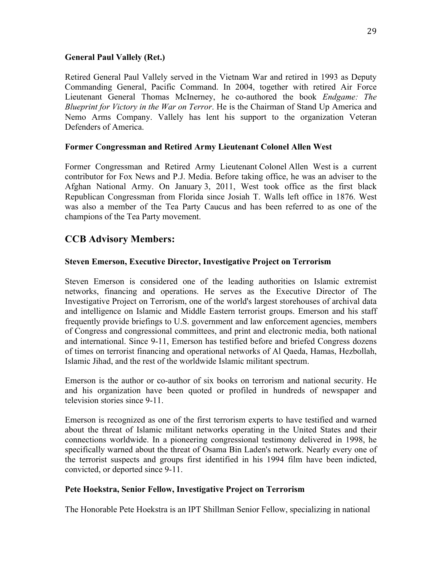#### **General Paul Vallely (Ret.)**

Retired General Paul Vallely served in the Vietnam War and retired in 1993 as Deputy Commanding General, Pacific Command. In 2004, together with retired Air Force Lieutenant General Thomas McInerney, he co-authored the book *Endgame: The Blueprint for Victory in the War on Terror*. He is the Chairman of Stand Up America and Nemo Arms Company. Vallely has lent his support to the organization Veteran Defenders of America.

#### **Former Congressman and Retired Army Lieutenant Colonel Allen West**

Former Congressman and Retired Army Lieutenant Colonel Allen West is a current contributor for Fox News and P.J. Media. Before taking office, he was an adviser to the Afghan National Army. On January 3, 2011, West took office as the first black Republican Congressman from Florida since Josiah T. Walls left office in 1876. West was also a member of the Tea Party Caucus and has been referred to as one of the champions of the Tea Party movement.

### **CCB Advisory Members:**

#### **Steven Emerson, Executive Director, Investigative Project on Terrorism**

Steven Emerson is considered one of the leading authorities on Islamic extremist networks, financing and operations. He serves as the Executive Director of The Investigative Project on Terrorism, one of the world's largest storehouses of archival data and intelligence on Islamic and Middle Eastern terrorist groups. Emerson and his staff frequently provide briefings to U.S. government and law enforcement agencies, members of Congress and congressional committees, and print and electronic media, both national and international. Since 9-11, Emerson has testified before and briefed Congress dozens of times on terrorist financing and operational networks of Al Qaeda, Hamas, Hezbollah, Islamic Jihad, and the rest of the worldwide Islamic militant spectrum.

Emerson is the author or co-author of six books on terrorism and national security. He and his organization have been quoted or profiled in hundreds of newspaper and television stories since 9-11.

Emerson is recognized as one of the first terrorism experts to have testified and warned about the threat of Islamic militant networks operating in the United States and their connections worldwide. In a pioneering congressional testimony delivered in 1998, he specifically warned about the threat of Osama Bin Laden's network. Nearly every one of the terrorist suspects and groups first identified in his 1994 film have been indicted, convicted, or deported since 9-11.

#### **Pete Hoekstra, Senior Fellow, Investigative Project on Terrorism**

The Honorable Pete Hoekstra is an IPT Shillman Senior Fellow, specializing in national